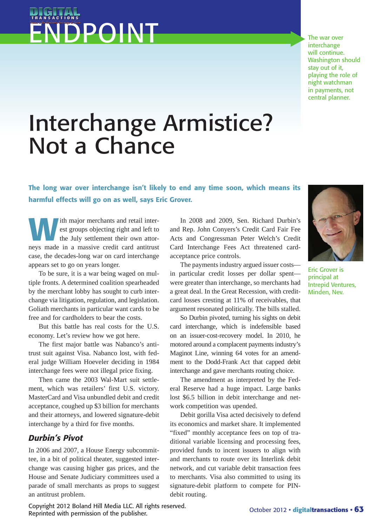## ENDPOINT

The war over interchange will continue. Washington should stay out of it, playing the role of night watchman in payments, not central planner.

## Interchange Armistice? Not a Chance

The long war over interchange isn't likely to end any time soon, which means its harmful effects will go on as well, says Eric Grover.

ith major merchants and retail interest groups objecting right and left to the July settlement their own attorneys made in a massive credit card antitrust case, the decades-long war on card interchange appears set to go on years longer.

To be sure, it is a war being waged on multiple fronts. A determined coalition spearheaded by the merchant lobby has sought to curb interchange via litigation, regulation, and legislation. Goliath merchants in particular want cards to be free and for cardholders to bear the costs.

But this battle has real costs for the U.S. economy. Let's review how we got here.

The first major battle was Nabanco's antitrust suit against Visa. Nabanco lost, with federal judge William Hoeveler deciding in 1984 interchange fees were not illegal price fixing.

Then came the 2003 Wal-Mart suit settlement, which was retailers' first U.S. victory. MasterCard and Visa unbundled debit and credit acceptance, coughed up \$3 billion for merchants and their attorneys, and lowered signature-debit interchange by a third for five months.

## *Durbin's Pivot*

In 2006 and 2007, a House Energy subcommittee, in a bit of political theater, suggested interchange was causing higher gas prices, and the House and Senate Judiciary committees used a parade of small merchants as props to suggest an antitrust problem.

In 2008 and 2009, Sen. Richard Durbin's and Rep. John Conyers's Credit Card Fair Fee Acts and Congressman Peter Welch's Credit Card Interchange Fees Act threatened cardacceptance price controls.

The payments industry argued issuer costs in particular credit losses per dollar spent were greater than interchange, so merchants had a great deal. In the Great Recession, with creditcard losses cresting at 11% of receivables, that argument resonated politically. The bills stalled.

So Durbin pivoted, turning his sights on debit card interchange, which is indefensible based on an issuer-cost-recovery model. In 2010, he motored around a complacent payments industry's Maginot Line, winning 64 votes for an amendment to the Dodd-Frank Act that capped debit interchange and gave merchants routing choice.

The amendment as interpreted by the Federal Reserve had a huge impact. Large banks lost \$6.5 billion in debit interchange and network competition was upended.

Debit gorilla Visa acted decisively to defend its economics and market share. It implemented "fixed" monthly acceptance fees on top of traditional variable licensing and processing fees, provided funds to incent issuers to align with and merchants to route over its Interlink debit network, and cut variable debit transaction fees to merchants. Visa also committed to using its signature-debit platform to compete for PINdebit routing.



Eric Grover is principal at Intrepid Ventures, Minden, Nev.

Copyright 2012 Boland Hill Media LLC. All rights reserved. Reprinted with permission of the publisher.